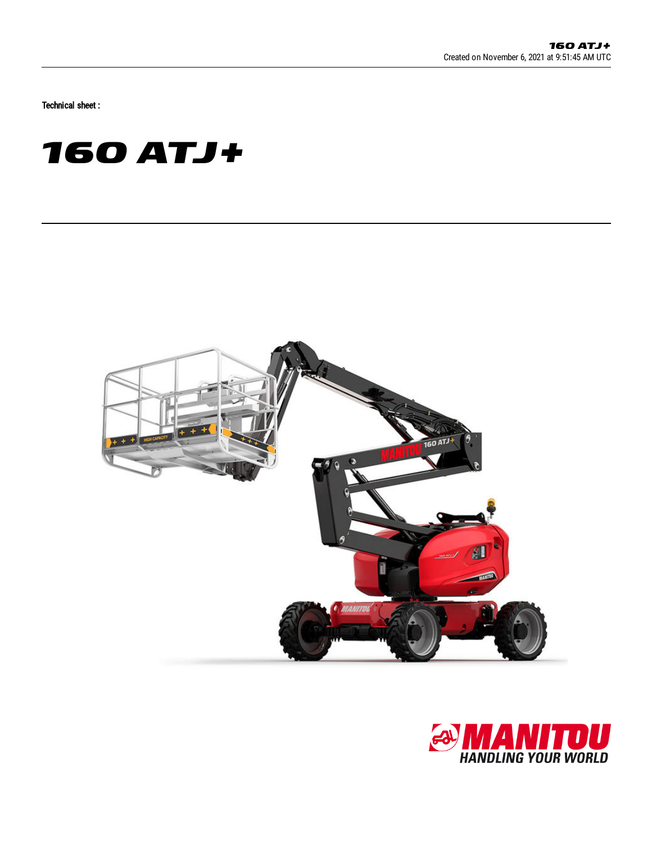Technical sheet :

# **160 ATJ+**



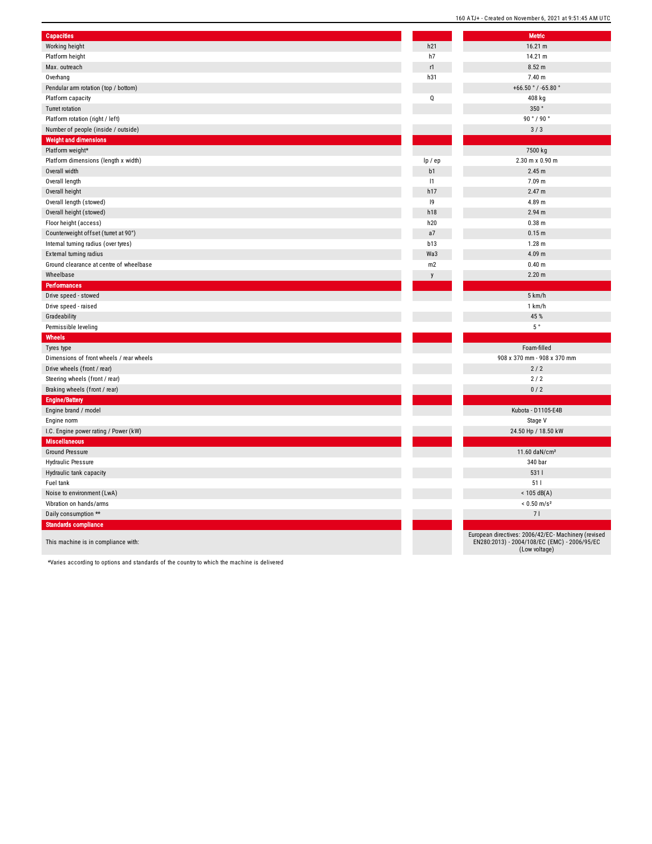| <b>Capacities</b>                        |             | <b>Metric</b>                            |
|------------------------------------------|-------------|------------------------------------------|
| Working height                           | h21         | 16.21 m                                  |
| Platform height                          | h7          | 14.21 m                                  |
| Max. outreach                            | r1          | 8.52 m                                   |
| Overhang                                 | h31         | 7.40 m                                   |
| Pendular arm rotation (top / bottom)     |             | +66.50 $^{\circ}$ / -65.80 $^{\circ}$    |
| Platform capacity                        | $\mathbf Q$ | 408 kg                                   |
| Turret rotation                          |             | 350°                                     |
| Platform rotation (right / left)         |             | 90°/90°                                  |
| Number of people (inside / outside)      |             | 3/3                                      |
| <b>Weight and dimensions</b>             |             |                                          |
| Platform weight*                         |             | 7500 kg                                  |
| Platform dimensions (length x width)     | lp / ep     | 2.30 m x 0.90 m                          |
| Overall width                            | b1          | 2.45 m                                   |
| Overall length                           | 1           | 7.09 m                                   |
| Overall height                           | h17         | 2.47 m                                   |
| Overall length (stowed)                  | 9           | 4.89 m                                   |
| Overall height (stowed)                  | h18         | 2.94 m                                   |
| Floor height (access)                    | h20         | $0.38$ m                                 |
| Counterweight offset (turret at 90°)     | a7          | 0.15 <sub>m</sub>                        |
| Internal turning radius (over tyres)     | b13         | 1.28 m                                   |
| External turning radius                  | Wa3         | 4.09 m                                   |
| Ground clearance at centre of wheelbase  | m2          | 0.40 <sub>m</sub>                        |
| Wheelbase                                | y           | 2.20 <sub>m</sub>                        |
| Performances                             |             |                                          |
| Drive speed - stowed                     |             | 5 km/h                                   |
| Drive speed - raised                     |             | 1 km/h                                   |
| Gradeability                             |             | 45 %                                     |
| Permissible leveling                     |             | $5~^\circ$                               |
| Wheels                                   |             |                                          |
| Tyres type                               |             | Foam-filled                              |
| Dimensions of front wheels / rear wheels |             | 908 x 370 mm - 908 x 370 mm              |
| Drive wheels (front / rear)              |             | 2/2                                      |
| Steering wheels (front / rear)           |             | 2/2                                      |
| Braking wheels (front / rear)            |             | 0/2                                      |
| <b>Engine/Battery</b>                    |             |                                          |
| Engine brand / model                     |             | Kubota - D1105-E4B                       |
| Engine norm                              |             | Stage V                                  |
| I.C. Engine power rating / Power (kW)    |             | 24.50 Hp / 18.50 kW                      |
| <b>Miscellaneous</b>                     |             |                                          |
| <b>Ground Pressure</b>                   |             | 11.60 daN/cm <sup>2</sup>                |
| <b>Hydraulic Pressure</b>                |             | 340 bar                                  |
| Hydraulic tank capacity                  |             | 5311                                     |
| Fuel tank                                |             | 511                                      |
| Noise to environment (LwA)               |             | $< 105$ dB(A)                            |
| Vibration on hands/arms                  |             | $< 0.50$ m/s <sup>2</sup>                |
| Daily consumption **                     |             | 71                                       |
| <b>Standards compliance</b>              |             |                                          |
|                                          |             | European directives: 2006/42/EC- Machine |
| This maching is in compliance with:      |             | $EN280:2013$ ) - 2004/108/EC (EMC) - 200 |

|                          | <b>Metric</b>                                                                                       |
|--------------------------|-----------------------------------------------------------------------------------------------------|
| $\overline{a}$           | 16.21 m                                                                                             |
| 7                        | 14.21 m                                                                                             |
| l.                       | 8.52 m                                                                                              |
| $\overline{\mathbf{3}}$  | 7.40 m                                                                                              |
|                          | +66.50 °/-65.80 °                                                                                   |
| Į                        | 408 kg                                                                                              |
|                          | 350°                                                                                                |
|                          | 90°/90°                                                                                             |
|                          | 3/3                                                                                                 |
|                          |                                                                                                     |
|                          | 7500 kg                                                                                             |
| ep                       | 2.30 m x 0.90 m                                                                                     |
| 1                        | 2.45 m                                                                                              |
| ı                        | 7.09 m                                                                                              |
| $\overline{7}$           | 2.47 m                                                                                              |
| J                        | 4.89 m                                                                                              |
| 8                        | 2.94 <sub>m</sub>                                                                                   |
| 20                       | $0.38$ m                                                                                            |
| 7                        | 0.15 <sub>m</sub>                                                                                   |
| 3                        | $1.28$ m                                                                                            |
| a3                       | 4.09 <sub>m</sub>                                                                                   |
| $\overline{2}$           | 0.40 <sub>m</sub>                                                                                   |
| $\overline{\phantom{a}}$ | 2.20 m                                                                                              |
|                          |                                                                                                     |
|                          | 5 km/h                                                                                              |
|                          | 1 km/h                                                                                              |
|                          | 45 %                                                                                                |
|                          | 5°                                                                                                  |
|                          |                                                                                                     |
|                          | Foam-filled                                                                                         |
|                          | 908 x 370 mm - 908 x 370 mm                                                                         |
|                          | 2/2                                                                                                 |
|                          | 2/2                                                                                                 |
|                          | 0/2                                                                                                 |
|                          |                                                                                                     |
|                          | Kubota - D1105-E4B                                                                                  |
|                          | Stage V                                                                                             |
|                          | 24.50 Hp / 18.50 kW                                                                                 |
|                          |                                                                                                     |
|                          | 11.60 daN/cm <sup>2</sup>                                                                           |
|                          | 340 bar                                                                                             |
|                          | 5311                                                                                                |
|                          | 511                                                                                                 |
|                          | $< 105$ dB(A)<br>$< 0.50$ m/s <sup>2</sup>                                                          |
|                          | 71                                                                                                  |
|                          |                                                                                                     |
|                          | European directives: 2006/42/EC- Machinery (revised<br>EN280:2013) - 2004/108/EC (EMC) - 2006/95/EC |
|                          | (Low voltage)                                                                                       |

This machine is in compliance with:

\*Varies according to options and standards of the country to which the machine is delivered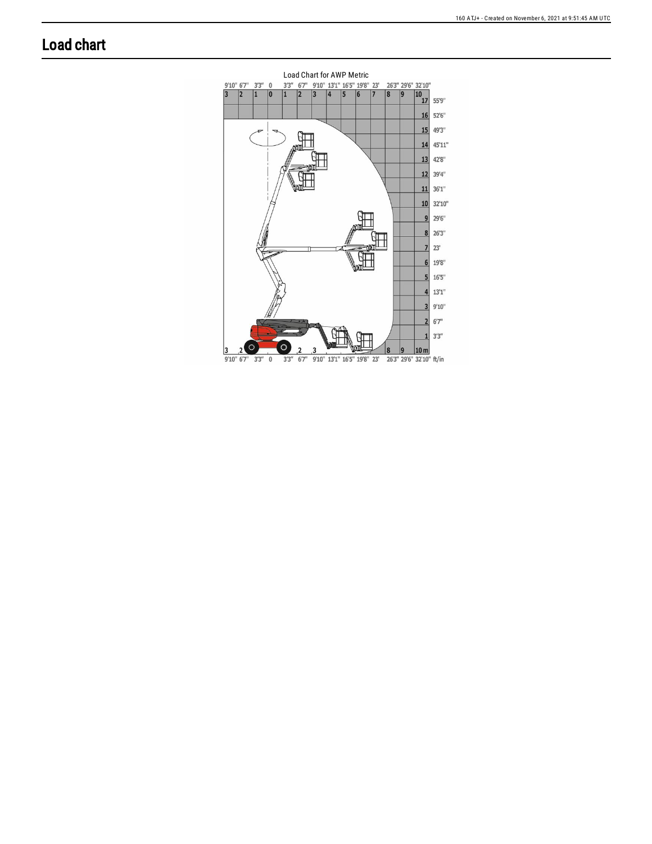### **Load chart**

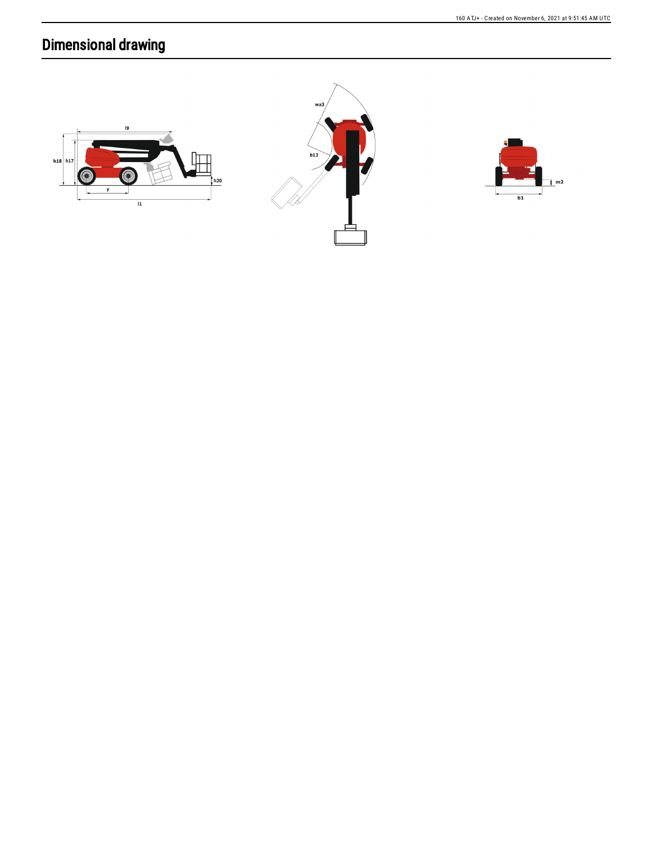## **Dimensional drawing**





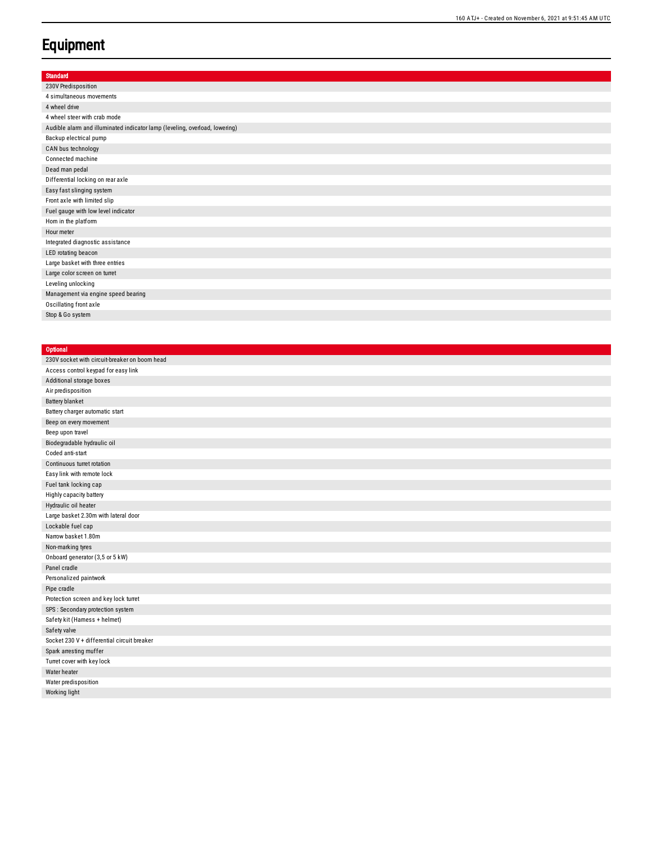#### **Equipment**

| <b>Standard</b>                                                             |
|-----------------------------------------------------------------------------|
| 230V Predisposition                                                         |
| 4 simultaneous movements                                                    |
| 4 wheel drive                                                               |
| 4 wheel steer with crab mode                                                |
| Audible alarm and illuminated indicator lamp (leveling, overload, lowering) |
| Backup electrical pump                                                      |
| CAN bus technology                                                          |
| Connected machine                                                           |
| Dead man pedal                                                              |
| Differential locking on rear axle                                           |
| Easy fast slinging system                                                   |
| Front axle with limited slip                                                |
| Fuel gauge with low level indicator                                         |
| Hom in the platform                                                         |
| Hour meter                                                                  |
| Integrated diagnostic assistance                                            |
| LED rotating beacon                                                         |
| Large basket with three entries                                             |
| Large color screen on turret                                                |
| Leveling unlocking                                                          |
| Management via engine speed bearing                                         |
| Oscillating front axle                                                      |
| Stop & Go system                                                            |

#### **Optional** 230V socket with circuit-breaker on boom head Access control keypad for easy link Additional storage boxes Air predisposition Battery blanket Battery charger automatic start Beep on every movement Beep upon travel Biodegradable hydraulic oil Coded anti-start Continuous turret rotation Easy link with remote lock Fuel tank locking cap Highly capacity battery Hydraulic oil heater Large basket 2.30m with lateral door Lockable fuel cap Narrow basket 1.80m Non-marking tyres Onboard generator (3,5 or 5 kW) Panel cradle Personalized paintwork Pipe cradle Protection screen and key lock turret SPS : Secondary protection system Safety kit (Hamess + helmet) Safety valve Socket 230 V + differential circuit breaker Spark arresting muffer Turret cover with key lock Water heater Water predisposition Working light